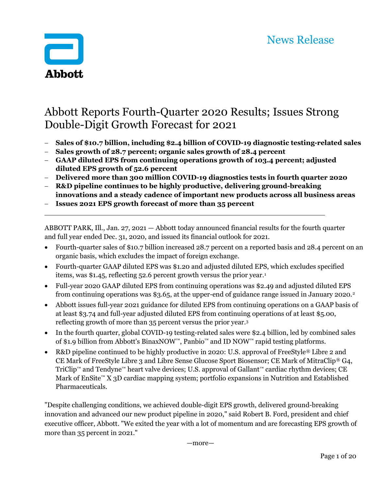

# Abbott Reports Fourth-Quarter 2020 Results; Issues Strong Double-Digit Growth Forecast for 2021

- Sales of \$10.7 billion, including \$2.4 billion of COVID-19 diagnostic testing-related sales
- Sales growth of 28.7 percent; organic sales growth of 28.4 percent
- GAAP diluted EPS from continuing operations growth of 103.4 percent; adjusted diluted EPS growth of 52.6 percent
- Delivered more than 300 million COVID-19 diagnostics tests in fourth quarter 2020
- R&D pipeline continues to be highly productive, delivering ground-breaking innovations and a steady cadence of important new products across all business areas
- Issues 2021 EPS growth forecast of more than 35 percent

ABBOTT PARK, Ill., Jan. 27, 2021 — Abbott today announced financial results for the fourth quarter and full year ended Dec. 31, 2020, and issued its financial outlook for 2021.

- Fourth-quarter sales of \$10.7 billion increased 28.7 percent on a reported basis and 28.4 percent on an organic basis, which excludes the impact of foreign exchange.
- Fourth-quarter GAAP diluted EPS was \$1.20 and adjusted diluted EPS, which excludes specified items, was \$1.45, reflecting 52.6 percent growth versus the prior year.<sup>1</sup>
- Full-year 2020 GAAP diluted EPS from continuing operations was \$2.49 and adjusted diluted EPS from continuing operations was \$3.65, at the upper-end of guidance range issued in January 2020.<sup>2</sup>
- Abbott issues full-year 2021 guidance for diluted EPS from continuing operations on a GAAP basis of at least \$3.74 and full-year adjusted diluted EPS from continuing operations of at least \$5.00, reflecting growth of more than 35 percent versus the prior year.<sup>3</sup>
- In the fourth quarter, global COVID-19 testing-related sales were \$2.4 billion, led by combined sales of \$1.9 billion from Abbott's BinaxNOW™, Panbio™ and ID NOW™ rapid testing platforms.
- R&D pipeline continued to be highly productive in 2020: U.S. approval of FreeStyle<sup>®</sup> Libre 2 and CE Mark of FreeStyle Libre 3 and Libre Sense Glucose Sport Biosensor; CE Mark of MitraClip® G4, TriClip™ and Tendyne™ heart valve devices; U.S. approval of Gallant™ cardiac rhythm devices; CE Mark of EnSite™ X 3D cardiac mapping system; portfolio expansions in Nutrition and Established Pharmaceuticals.

"Despite challenging conditions, we achieved double-digit EPS growth, delivered ground-breaking innovation and advanced our new product pipeline in 2020," said Robert B. Ford, president and chief executive officer, Abbott. "We exited the year with a lot of momentum and are forecasting EPS growth of more than 35 percent in 2021."

—more—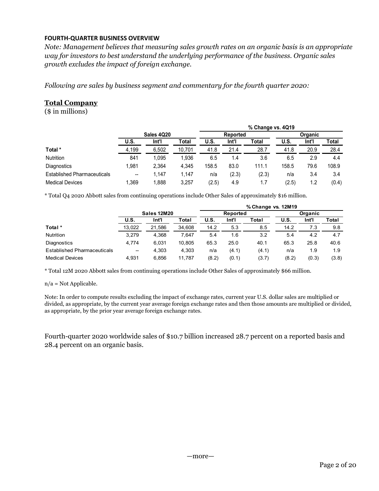## FOURTH-QUARTER BUSINESS OVERVIEW

## Total Company

| Following are sales by business segment and commentary for the fourth quarter 2020:                        |                                                            |                |                 |              |                |                    |              |              |              |
|------------------------------------------------------------------------------------------------------------|------------------------------------------------------------|----------------|-----------------|--------------|----------------|--------------------|--------------|--------------|--------------|
|                                                                                                            |                                                            |                |                 |              |                |                    |              |              |              |
| <b>Total Company</b>                                                                                       |                                                            |                |                 |              |                |                    |              |              |              |
|                                                                                                            |                                                            |                |                 |              |                |                    |              |              |              |
| $($$ in millions)                                                                                          |                                                            |                |                 |              |                |                    |              |              |              |
|                                                                                                            |                                                            |                |                 |              |                |                    |              |              |              |
|                                                                                                            |                                                            |                |                 |              |                | % Change vs. 4Q19  |              |              |              |
|                                                                                                            |                                                            | Sales 4Q20     |                 |              | Reported       |                    |              | Organic      |              |
|                                                                                                            | U.S.                                                       | Int'l          | <b>Total</b>    | U.S.         | Int'l          | Total              | U.S.         | Int'l        | <b>Total</b> |
| Total *                                                                                                    | 4,199                                                      | 6,502          | 10,701          | 41.8         | 21.4<br>1.4    | 28.7               | 41.8         | 20.9         | 28.4<br>4.4  |
| Nutrition                                                                                                  | 841                                                        | 1,095          | 1,936           | 6.5          |                | 3.6                | 6.5          | 2.9          |              |
| Diagnostics                                                                                                | 1,981                                                      | 2,364          | 4,345           | 158.5        | 83.0           | 111.1              | 158.5        | 79.6         | 108.9        |
| <b>Established Pharmaceuticals</b>                                                                         | $\hspace{0.05cm}-\hspace{0.05cm}-\hspace{0.05cm}$<br>1,369 | 1,147          | 1,147           | n/a          | (2.3)          | (2.3)              | n/a          | 3.4          | 3.4          |
|                                                                                                            |                                                            | 1,888          | 3,257           | (2.5)        | 4.9            | 1.7                | (2.5)        | 1.2          | (0.4)        |
| <b>Medical Devices</b>                                                                                     |                                                            |                |                 |              |                |                    |              |              |              |
| * Total Q4 2020 Abbott sales from continuing operations include Other Sales of approximately \$16 million. |                                                            |                |                 |              |                |                    |              |              |              |
|                                                                                                            |                                                            |                |                 |              |                |                    |              |              |              |
|                                                                                                            |                                                            | Sales 12M20    |                 |              | Reported       | % Change vs. 12M19 |              | Organic      |              |
|                                                                                                            | <b>U.S.</b>                                                | Int'l          | <b>Total</b>    | U.S.         | Int'l          | <b>Total</b>       | U.S.         | Int'l        | Total        |
| Total *                                                                                                    | 13,022                                                     | 21,586         | 34,608          | 14.2         | 5.3            | 8.5                | 14.2         | 7.3          | 9.8          |
| Nutrition                                                                                                  | 3,279                                                      | 4,368          | 7,647           | 5.4          | 1.6            | 3.2                | 5.4          | 4.2          | 4.7          |
| Diagnostics                                                                                                | 4,774                                                      | 6,031          | 10,805          | 65.3         | 25.0           | 40.1               | 65.3         | 25.8         | 40.6         |
| <b>Established Pharmaceuticals</b><br><b>Medical Devices</b>                                               | 4,931                                                      | 4,303<br>6,856 | 4,303<br>11,787 | n/a<br>(8.2) | (4.1)<br>(0.1) | (4.1)<br>(3.7)     | n/a<br>(8.2) | 1.9<br>(0.3) | 1.9<br>(3.8) |

|                                    |                   |             |        |       |          | % Change vs. 12M19 |             |                |       |
|------------------------------------|-------------------|-------------|--------|-------|----------|--------------------|-------------|----------------|-------|
|                                    |                   | Sales 12M20 |        |       | Reported |                    |             | <b>Organic</b> |       |
|                                    | U.S.              | Int'l       | Total  | U.S.  | Int'l    | Total              | <b>U.S.</b> | Int'l          | Total |
| Total *                            | 13,022            | 21.586      | 34.608 | 14.2  | 5.3      | 8.5                | 14.2        | 7.3            | 9.8   |
| <b>Nutrition</b>                   | 3.279             | 4.368       | 7.647  | 5.4   | 1.6      | 3.2                | 5.4         | 4.2            | 4.7   |
| Diagnostics                        | 4,774             | 6.031       | 10.805 | 65.3  | 25.0     | 40.1               | 65.3        | 25.8           | 40.6  |
| <b>Established Pharmaceuticals</b> | $\hspace{0.05cm}$ | 4.303       | 4.303  | n/a   | (4.1)    | (4.1)              | n/a         | 1.9            | 1.9   |
| <b>Medical Devices</b>             | 4,931             | 6.856       | 11.787 | (8.2) | (0.1)    | (3.7)              | (8.2)       | (0.3)          | (3.8) |

#### n/a = Not Applicable.

Note: In order to compute results excluding the impact of exchange rates, current year U.S. dollar sales are multiplied or divided, as appropriate, by the current year average foreign exchange rates and then those amounts are multiplied or divided, as appropriate, by the prior year average foreign exchange rates.

Fourth-quarter 2020 worldwide sales of \$10.7 billion increased 28.7 percent on a reported basis and 28.4 percent on an organic basis.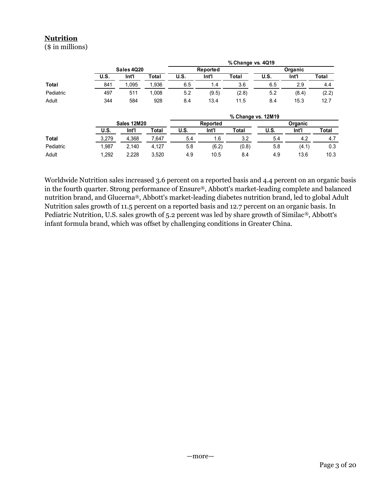# **Nutrition**

Worldwide Nutrition sales increased 3.6 percent on a reported basis and 4.4 percent on an organic basis in the fourth quarter. Strong performance of Ensure®, Abbott's market-leading complete and balanced nutrition brand, and Glucerna®, Abbott's market-leading diabetes nutrition brand, led to global Adult Nutrition sales growth of 11.5 percent on a reported basis and 12.7 percent on an organic basis. In Pediatric Nutrition, U.S. sales growth of 5.2 percent was led by share growth of Similac®, Abbott's infant formula brand, which was offset by challenging conditions in Greater China.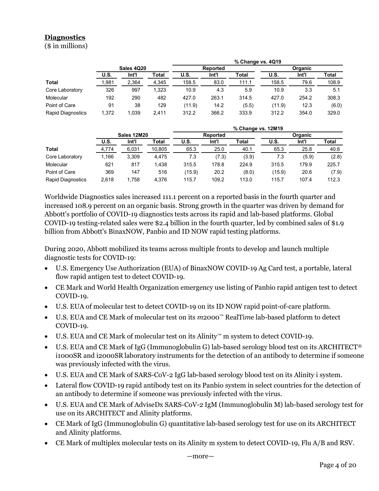# **Diagnostics**

| <b>Diagnostics</b><br>$($$ in millions) |              |                    |              |                 |               |                    |                 |               |                |
|-----------------------------------------|--------------|--------------------|--------------|-----------------|---------------|--------------------|-----------------|---------------|----------------|
|                                         |              |                    |              |                 |               |                    |                 |               |                |
|                                         |              |                    |              |                 |               |                    |                 |               |                |
|                                         |              |                    |              |                 |               |                    |                 |               |                |
|                                         |              |                    |              |                 |               |                    |                 |               |                |
|                                         |              |                    |              |                 |               |                    |                 |               |                |
|                                         |              |                    |              |                 |               |                    |                 |               |                |
|                                         |              |                    |              |                 |               |                    |                 |               |                |
|                                         |              |                    |              |                 |               |                    |                 |               |                |
|                                         |              |                    |              |                 |               |                    |                 |               |                |
|                                         |              |                    |              |                 |               |                    |                 |               |                |
|                                         |              |                    |              |                 |               |                    |                 |               |                |
|                                         |              |                    |              |                 |               |                    |                 |               |                |
|                                         |              |                    |              |                 |               |                    |                 |               |                |
|                                         |              |                    |              |                 |               | % Change vs. 4Q19  |                 |               |                |
|                                         |              | Sales 4Q20         |              |                 | Reported      |                    |                 | Organic       |                |
|                                         | U.S.         | Int <sup>T</sup>   | <b>Total</b> | U.S.            | Int'l         | <b>Total</b>       | U.S.            | Int           | <b>Total</b>   |
| <b>Total</b>                            | 1,981        | 2,364              | 4,345        | 158.5           | 83.0          | 111.1              | 158.5           | 79.6          | 108.9          |
| Core Laboratory                         | 326          | 997                | 1,323        | 10.9            | 4.3           | 5.9                | 10.9            | 3.3           | 5.1            |
| Molecular                               | 192          | 290                | 482          | 427.0           | 263.1         | 314.5              | 427.0           | 254.2         | 308.3          |
| Point of Care                           | 91           | 38                 | 129          | (11.9)          | 14.2          | (5.5)              | (11.9)          | 12.3          | (6.0)          |
| Rapid Diagnostics                       | 1,372        | 1,039              | 2,411        | 312.2           | 366.2         | 333.9              | 312.2           | 354.0         | 329.0          |
|                                         |              |                    |              |                 |               |                    |                 |               |                |
|                                         |              |                    |              |                 | Reported      | % Change vs. 12M19 |                 | Organic       |                |
|                                         |              |                    |              | U.S.            | Int'l         | <b>Total</b>       | <b>U.S.</b>     | Int           | <b>Total</b>   |
|                                         |              | <b>Sales 12M20</b> |              |                 |               | 40.1               | 65.3            | 25.8          | 40.6           |
|                                         | U.S.         | Int <sup>'</sup>   | <b>Total</b> |                 |               |                    |                 |               |                |
| <b>Total</b>                            | 4,774        | 6,031              | 10,805       | 65.3            | 25.0          |                    |                 |               |                |
| Core Laboratory                         | 1,166        | 3,309              | 4,475        | 7.3             | (7.3)         | (3.9)              | 7.3             | (5.9)         | (2.8)          |
| Molecular                               | 621          | 817                | 1,438        | 315.5           | 178.8         | 224.9              | 315.5           | 179.9         | 225.7          |
| Point of Care<br>Rapid Diagnostics      | 369<br>2,618 | 147<br>1,758       | 516<br>4,376 | (15.9)<br>115.7 | 20.2<br>109.2 | (8.0)<br>113.0     | (15.9)<br>115.7 | 20.6<br>107.4 | (7.9)<br>112.3 |

|                          |       |             |        |        |                 | % Change vs. 12M19 |        |                |       |
|--------------------------|-------|-------------|--------|--------|-----------------|--------------------|--------|----------------|-------|
|                          |       | Sales 12M20 |        |        | <b>Reported</b> |                    |        | <b>Organic</b> |       |
|                          | U.S.  | Int'l       | Total  | U.S.   | Int'l           | Total              | U.S.   | Int'l          | Total |
| <b>Total</b>             | 4,774 | 6,031       | 10,805 | 65.3   | 25.0            | 40.1               | 65.3   | 25.8           | 40.6  |
| Core Laboratory          | .166  | 3,309       | 4,475  | 7.3    | (7.3)           | (3.9)              | 7.3    | (5.9)          | (2.8) |
| Molecular                | 621   | 817         | 1,438  | 315.5  | 178.8           | 224.9              | 315.5  | 179.9          | 225.7 |
| Point of Care            | 369   | 147         | 516    | (15.9) | 20.2            | (8.0)              | (15.9) | 20.6           | (7.9) |
| <b>Rapid Diagnostics</b> | 2,618 | 1,758       | 4,376  | 115.7  | 109.2           | 113.0              | 115.7  | 107.4          | 112.3 |

Worldwide Diagnostics sales increased 111.1 percent on a reported basis in the fourth quarter and increased 108.9 percent on an organic basis. Strong growth in the quarter was driven by demand for Abbott's portfolio of COVID-19 diagnostics tests across its rapid and lab-based platforms. Global COVID-19 testing-related sales were \$2.4 billion in the fourth quarter, led by combined sales of \$1.9 billion from Abbott's BinaxNOW, Panbio and ID NOW rapid testing platforms.

During 2020, Abbott mobilized its teams across multiple fronts to develop and launch multiple diagnostic tests for COVID-19:

- U.S. Emergency Use Authorization (EUA) of BinaxNOW COVID-19 Ag Card test, a portable, lateral flow rapid antigen test to detect COVID-19.
- CE Mark and World Health Organization emergency use listing of Panbio rapid antigen test to detect COVID-19.
- U.S. EUA of molecular test to detect COVID-19 on its ID NOW rapid point-of-care platform.
- U.S. EUA and CE Mark of molecular test on its m2000™ RealTime lab-based platform to detect COVID-19.
- U.S. EUA and CE Mark of molecular test on its Alinity™ m system to detect COVID-19.
- U.S. EUA and CE Mark of IgG (Immunoglobulin G) lab-based serology blood test on its ARCHITECT® i1000SR and i2000SR laboratory instruments for the detection of an antibody to determine if someone was previously infected with the virus.
- U.S. EUA and CE Mark of SARS-CoV-2 IgG lab-based serology blood test on its Alinity i system.
- Lateral flow COVID-19 rapid antibody test on its Panbio system in select countries for the detection of an antibody to determine if someone was previously infected with the virus.
- U.S. EUA and CE Mark of AdviseDx SARS-CoV-2 IgM (Immunoglobulin M) lab-based serology test for use on its ARCHITECT and Alinity platforms.
- CE Mark of IgG (Immunoglobulin G) quantitative lab-based serology test for use on its ARCHITECT and Alinity platforms.
- CE Mark of multiplex molecular tests on its Alinity m system to detect COVID-19, Flu A/B and RSV.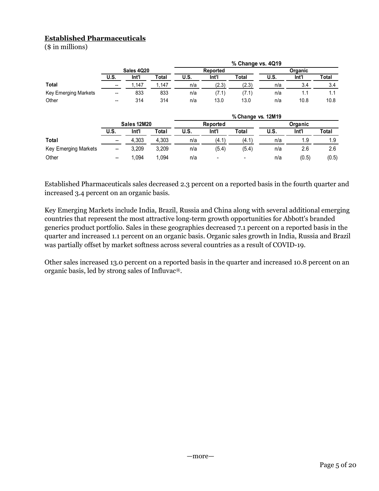# Established Pharmaceuticals

| <b>Established Pharmaceuticals</b> |                          |                             |                |             |                   |                         |             |                             |              |
|------------------------------------|--------------------------|-----------------------------|----------------|-------------|-------------------|-------------------------|-------------|-----------------------------|--------------|
| (\$ in millions)                   |                          |                             |                |             |                   |                         |             |                             |              |
|                                    |                          |                             |                |             |                   |                         |             |                             |              |
|                                    |                          |                             |                |             |                   | % Change vs. 4Q19       |             |                             |              |
|                                    |                          | <b>Sales 4Q20</b>           |                |             | Reported          |                         |             | Organic                     |              |
|                                    | <b>U.S.</b>              | Int'l                       | <b>Total</b>   | <b>U.S.</b> | Int'l             | <b>Total</b>            | <b>U.S.</b> | Int'l                       | Total        |
| <b>Total</b>                       | $\overline{\phantom{a}}$ | 1,147                       | 1,147          | n/a         | (2.3)             | (2.3)                   | n/a         | $3.4$                       | 3.4          |
|                                    | $\overline{\phantom{a}}$ | 833                         | 833<br>314     | n/a         | (7.1)<br>13.0     | (7.1)                   | n/a         | 1.1                         | $1.1$        |
| Key Emerging Markets               |                          |                             |                | n/a         |                   | 13.0                    | n/a         | 10.8                        | 10.8         |
| Other                              | $\overline{\phantom{a}}$ | 314                         |                |             |                   |                         |             |                             |              |
|                                    |                          |                             |                |             |                   |                         |             |                             |              |
|                                    |                          |                             |                |             |                   | % Change vs. 12M19      |             |                             |              |
|                                    | <b>U.S.</b>              | <b>Sales 12M20</b><br>Int'l |                | U.S.        | Reported<br>Int'l | Total                   | <b>U.S.</b> | Organic<br>Int <sup>T</sup> | Total        |
| Total                              | $\qquad \qquad \qquad$   |                             | Total          |             |                   |                         |             |                             |              |
|                                    | $\overline{\phantom{0}}$ | 4,303                       | 4,303          | n/a         | (4.1)             | (4.1)                   | n/a         | 1.9                         | 1.9          |
| Key Emerging Markets<br>Other      | $\overline{\phantom{a}}$ | 3,209<br>1,094              | 3,209<br>1,094 | n/a<br>n/a  | (5.4)             | (5.4)<br>$\blacksquare$ | n/a<br>n/a  | 2.6<br>(0.5)                | 2.6<br>(0.5) |

Key Emerging Markets include India, Brazil, Russia and China along with several additional emerging countries that represent the most attractive long-term growth opportunities for Abbott's branded generics product portfolio. Sales in these geographies decreased 7.1 percent on a reported basis in the quarter and increased 1.1 percent on an organic basis. Organic sales growth in India, Russia and Brazil was partially offset by market softness across several countries as a result of COVID-19.

Other sales increased 13.0 percent on a reported basis in the quarter and increased 10.8 percent on an organic basis, led by strong sales of Influvac®.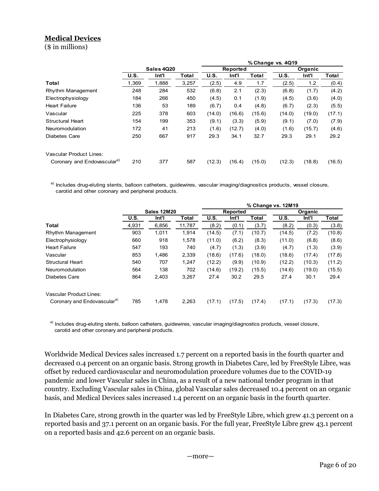# Medical Devices

| <b>Medical Devices</b>                                                                                                 |             |                    |              |             |                 |        |                    |         |              |
|------------------------------------------------------------------------------------------------------------------------|-------------|--------------------|--------------|-------------|-----------------|--------|--------------------|---------|--------------|
| $($$ in millions)                                                                                                      |             |                    |              |             |                 |        |                    |         |              |
|                                                                                                                        |             |                    |              |             |                 |        |                    |         |              |
|                                                                                                                        |             |                    |              |             |                 |        | % Change vs. 4Q19  |         |              |
|                                                                                                                        |             | Sales 4Q20         |              |             | Reported        |        |                    | Organic |              |
|                                                                                                                        | <b>U.S.</b> | Int'l              | <b>Total</b> | <b>U.S.</b> | In <sup>T</sup> | Total  | <b>U.S.</b>        | Int'l   | Total        |
| Total                                                                                                                  | 1,369       | 1,888              | 3,257        | (2.5)       | 4.9             | 1.7    | (2.5)              | 1.2     | (0.4)        |
| Rhythm Management                                                                                                      | 248         | 284                | 532          | (6.8)       | 2.1             | (2.3)  | (6.8)              | (1.7)   | (4.2)        |
| Electrophysiology                                                                                                      | 184         | 266                | 450          | (4.5)       | 0.1             | (1.9)  | (4.5)              | (3.6)   | (4.0)        |
| <b>Heart Failure</b>                                                                                                   | 136         | 53                 | 189          | (6.7)       | 0.4             | (4.8)  | (6.7)              | (2.3)   | (5.5)        |
| Vascular                                                                                                               | 225         | 378                | 603          | (14.0)      | (16.6)          | (15.6) | (14.0)             | (19.0)  | (17.1)       |
| <b>Structural Heart</b>                                                                                                | 154         | 199                | 353          | (9.1)       | (3.3)           | (5.9)  | (9.1)              | (7.0)   | (7.9)        |
| Neuromodulation                                                                                                        | 172         | 41                 | 213          | (1.6)       | (12.7)          | (4.0)  | (1.6)              | (15.7)  | (4.6)        |
| Diabetes Care                                                                                                          | 250         | 667                | 917          | 29.3        | 34.1            | 32.7   | 29.3               | 29.1    | 29.2         |
|                                                                                                                        |             |                    |              |             |                 |        |                    |         |              |
| Vascular Product Lines:                                                                                                |             |                    |              |             |                 |        |                    |         |              |
| Coronary and Endovascular <sup>a)</sup>                                                                                | 210         | 377                | 587          | (12.3)      | (16.4)          | (15.0) | (12.3)             | (18.8)  | (16.5)       |
|                                                                                                                        |             |                    |              |             |                 |        |                    |         |              |
|                                                                                                                        |             |                    |              |             |                 |        |                    |         |              |
| a) Includes drug-eluting stents, balloon catheters, guidewires, vascular imaging/diagnostics products, vessel closure, |             |                    |              |             |                 |        |                    |         |              |
| carotid and other coronary and peripheral products.                                                                    |             |                    |              |             |                 |        |                    |         |              |
|                                                                                                                        |             |                    |              |             |                 |        | % Change vs. 12M19 |         |              |
|                                                                                                                        |             | <b>Sales 12M20</b> |              |             | Reported        |        |                    | Organic |              |
|                                                                                                                        | <b>U.S.</b> | Int                | <b>Total</b> | <b>U.S.</b> | Int             | Total  | <b>U.S.</b>        | Int     | <b>Total</b> |
| <b>Total</b>                                                                                                           | 4,931       | 6,856              | 11,787       | (8.2)       | (0.1)           | (3.7)  | (8.2)              | (0.3)   | (3.8)        |
| Rhythm Management                                                                                                      | 903         | 1,011              | 1,914        | (14.5)      | (7.1)           | (10.7) | (14.5)             | (7.2)   | (10.8)       |
| Electrophysiology                                                                                                      | 660         | 918                | 1,578        | (11.0)      | (6.2)           | (8.3)  | (11.0)             | (6.8)   | (8.6)        |
|                                                                                                                        | 547         | 193                | 740          | (4.7)       | (1.3)           | (3.9)  | (4.7)              | (1.3)   | (3.9)        |
| <b>Heart Failure</b>                                                                                                   |             |                    |              |             |                 |        |                    |         |              |

|                                                                                                                                                                               | ------ <del>---</del> |                    |              |             |          |              |                    |         |              |
|-------------------------------------------------------------------------------------------------------------------------------------------------------------------------------|-----------------------|--------------------|--------------|-------------|----------|--------------|--------------------|---------|--------------|
|                                                                                                                                                                               | U.S.                  | Int'l              | <b>Total</b> | U.S.        | Int'l    | <b>Total</b> | U.S.               | Int'l   | <b>Total</b> |
| Total                                                                                                                                                                         | 1,369                 | 1,888              | 3,257        | (2.5)       | 4.9      | 1.7          | (2.5)              | 1.2     | (0.4)        |
| Rhythm Management                                                                                                                                                             | 248                   | 284                | 532          | (6.8)       | 2.1      | (2.3)        | (6.8)              | (1.7)   | (4.2)        |
| Electrophysiology                                                                                                                                                             | 184                   | 266                | 450          | (4.5)       | 0.1      | (1.9)        | (4.5)              | (3.6)   | (4.0)        |
| <b>Heart Failure</b>                                                                                                                                                          | 136                   | 53                 | 189          | (6.7)       | 0.4      | (4.8)        | (6.7)              | (2.3)   | (5.5)        |
| Vascular                                                                                                                                                                      | 225                   | 378                | 603          | (14.0)      | (16.6)   | (15.6)       | (14.0)             | (19.0)  | (17.1)       |
| <b>Structural Heart</b>                                                                                                                                                       | 154                   | 199                | 353          | (9.1)       | (3.3)    | (5.9)        | (9.1)              | (7.0)   | (7.9)        |
| Neuromodulation                                                                                                                                                               | 172                   | 41                 | 213          | (1.6)       | (12.7)   | (4.0)        | (1.6)              | (15.7)  | (4.6)        |
| Diabetes Care                                                                                                                                                                 | 250                   | 667                | 917          | 29.3        | 34.1     | 32.7         | 29.3               | 29.1    | 29.2         |
| Vascular Product Lines:                                                                                                                                                       |                       |                    |              |             |          |              |                    |         |              |
| Coronary and Endovascular <sup>a)</sup>                                                                                                                                       | 210                   | 377                | 587          | (12.3)      | (16.4)   | (15.0)       | (12.3)             | (18.8)  | (16.5)       |
| a) Includes drug-eluting stents, balloon catheters, guidewires, vascular imaging/diagnostics products, vessel closure,<br>carotid and other coronary and peripheral products. |                       |                    |              |             |          |              |                    |         |              |
|                                                                                                                                                                               |                       |                    |              |             |          |              | % Change vs. 12M19 |         |              |
|                                                                                                                                                                               |                       | <b>Sales 12M20</b> |              |             | Reported |              |                    | Organic |              |
|                                                                                                                                                                               | <b>U.S.</b>           | Int'l              | <b>Total</b> | <b>U.S.</b> | Int'l    | <b>Total</b> | <b>U.S.</b>        | Int'l   | <b>Total</b> |
|                                                                                                                                                                               | 4,931                 | 6,856              | 11,787       | (8.2)       | (0.1)    | (3.7)        | (8.2)              | (0.3)   | (3.8)        |
| Rhythm Management                                                                                                                                                             | 903                   | 1,011              | 1,914        | (14.5)      | (7.1)    | (10.7)       | (14.5)             | (7.2)   | (10.8)       |
| <b>Total</b><br>Electrophysiology                                                                                                                                             | 660                   | 918                | 1,578        | (11.0)      | (6.2)    | (8.3)        | (11.0)             | (6.8)   | (8.6)        |
|                                                                                                                                                                               | 547                   | 193                | 740          | (4.7)       | (1.3)    | (3.9)        | (4.7)              | (1.3)   | (3.9)        |
|                                                                                                                                                                               | 853                   | 1,486              | 2,339        | (18.6)      | (17.6)   | (18.0)       | (18.6)             | (17.4)  | (17.8)       |
|                                                                                                                                                                               | 540                   | 707                | 1,247        | (12.2)      | (9.9)    | (10.9)       | (12.2)             | (10.3)  | (11.2)       |
|                                                                                                                                                                               | 564                   | 138                | 702          | (14.6)      | (19.2)   | (15.5)       | (14.6)             | (19.0)  | (15.5)       |
| <b>Heart Failure</b><br>Vascular<br><b>Structural Heart</b><br>Neuromodulation<br><b>Diabetes Care</b>                                                                        | 864                   | 2,403              | 3,267        | 27.4        | 30.2     | 29.5         | 27.4               | 30.1    | 29.4         |
| <b>Vascular Product Lines:</b>                                                                                                                                                |                       |                    |              |             |          |              |                    |         |              |

a) Includes drug-eluting stents, balloon catheters, guidewires, vascular imaging/diagnostics products, vessel closure, carotid and other coronary and peripheral products.

Worldwide Medical Devices sales increased 1.7 percent on a reported basis in the fourth quarter and decreased 0.4 percent on an organic basis. Strong growth in Diabetes Care, led by FreeStyle Libre, was offset by reduced cardiovascular and neuromodulation procedure volumes due to the COVID-19 pandemic and lower Vascular sales in China, as a result of a new national tender program in that country. Excluding Vascular sales in China, global Vascular sales decreased 10.4 percent on an organic basis, and Medical Devices sales increased 1.4 percent on an organic basis in the fourth quarter.

In Diabetes Care, strong growth in the quarter was led by FreeStyle Libre, which grew 41.3 percent on a reported basis and 37.1 percent on an organic basis. For the full year, FreeStyle Libre grew 43.1 percent on a reported basis and 42.6 percent on an organic basis.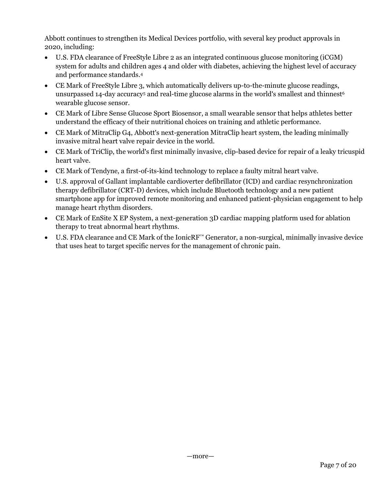Abbott continues to strengthen its Medical Devices portfolio, with several key product approvals in 2020, including:

- U.S. FDA clearance of FreeStyle Libre 2 as an integrated continuous glucose monitoring (iCGM) system for adults and children ages 4 and older with diabetes, achieving the highest level of accuracy and performance standards.<sup>4</sup>
- CE Mark of FreeStyle Libre 3, which automatically delivers up-to-the-minute glucose readings, unsurpassed 14-day accuracy $^5$  and real-time glucose alarms in the world's smallest and thinnest $^6$ wearable glucose sensor.
- CE Mark of Libre Sense Glucose Sport Biosensor, a small wearable sensor that helps athletes better understand the efficacy of their nutritional choices on training and athletic performance.
- CE Mark of MitraClip G4, Abbott's next-generation MitraClip heart system, the leading minimally invasive mitral heart valve repair device in the world.
- CE Mark of TriClip, the world's first minimally invasive, clip-based device for repair of a leaky tricuspid heart valve.
- CE Mark of Tendyne, a first-of-its-kind technology to replace a faulty mitral heart valve.
- U.S. approval of Gallant implantable cardioverter defibrillator (ICD) and cardiac resynchronization therapy defibrillator (CRT-D) devices, which include Bluetooth technology and a new patient smartphone app for improved remote monitoring and enhanced patient-physician engagement to help manage heart rhythm disorders.
- CE Mark of EnSite X EP System, a next-generation 3D cardiac mapping platform used for ablation therapy to treat abnormal heart rhythms.
- U.S. FDA clearance and CE Mark of the IonicRF™ Generator, a non-surgical, minimally invasive device that uses heat to target specific nerves for the management of chronic pain.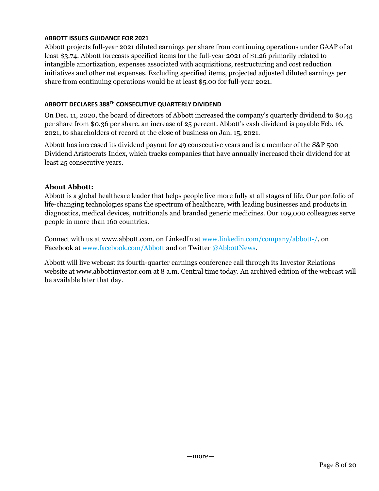## ABBOTT ISSUES GUIDANCE FOR 2021

Abbott projects full-year 2021 diluted earnings per share from continuing operations under GAAP of at least \$3.74. Abbott forecasts specified items for the full-year 2021 of \$1.26 primarily related to intangible amortization, expenses associated with acquisitions, restructuring and cost reduction initiatives and other net expenses. Excluding specified items, projected adjusted diluted earnings per share from continuing operations would be at least \$5.00 for full-year 2021.

## ABBOTT DECLARES 388TH CONSECUTIVE QUARTERLY DIVIDEND

On Dec. 11, 2020, the board of directors of Abbott increased the company's quarterly dividend to \$0.45 per share from \$0.36 per share, an increase of 25 percent. Abbott's cash dividend is payable Feb. 16, 2021, to shareholders of record at the close of business on Jan. 15, 2021.

Abbott has increased its dividend payout for 49 consecutive years and is a member of the S&P 500 Dividend Aristocrats Index, which tracks companies that have annually increased their dividend for at least 25 consecutive years.

## About Abbott:

Abbott is a global healthcare leader that helps people live more fully at all stages of life. Our portfolio of life-changing technologies spans the spectrum of healthcare, with leading businesses and products in diagnostics, medical devices, nutritionals and branded generic medicines. Our 109,000 colleagues serve people in more than 160 countries.

Connect with us at www.abbott.com, on LinkedIn at www.linkedin.com/company/abbott-/, on Facebook at www.facebook.com/Abbott and on Twitter @AbbottNews.

Abbott will live webcast its fourth-quarter earnings conference call through its Investor Relations website at www.abbottinvestor.com at 8 a.m. Central time today. An archived edition of the webcast will be available later that day.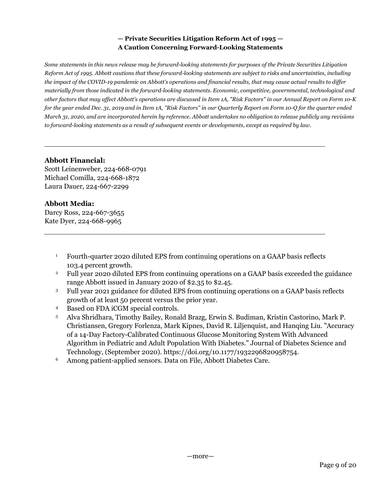## — Private Securities Litigation Reform Act of 1995 — A Caution Concerning Forward-Looking Statements

Some statements in this news release may be forward-looking statements for purposes of the Private Securities Litigation Reform Act of 1995. Abbott cautions that these forward-looking statements are subject to risks and uncertainties, including the impact of the COVID-19 pandemic on Abbott's operations and financial results, that may cause actual results to differ materially from those indicated in the forward-looking statements. Economic, competitive, governmental, technological and other factors that may affect Abbott's operations are discussed in Item 1A, "Risk Factors" in our Annual Report on Form 10-K for the year ended Dec. 31, 2019 and in Item 1A, "Risk Factors" in our Quarterly Report on Form 10-Q for the quarter ended March 31, 2020, and are incorporated herein by reference. Abbott undertakes no obligation to release publicly any revisions to forward-looking statements as a result of subsequent events or developments, except as required by law.

## Abbott Financial:

Scott Leinenweber, 224-668-0791 Michael Comilla, 224-668-1872 Laura Dauer, 224-667-2299

# Abbott Media:

Darcy Ross, 224-667-3655 Kate Dyer, 224-668-9965

- <sup>1</sup> Fourth-quarter 2020 diluted EPS from continuing operations on a GAAP basis reflects 103.4 percent growth.
- <sup>2</sup> Full year 2020 diluted EPS from continuing operations on a GAAP basis exceeded the guidance range Abbott issued in January 2020 of \$2.35 to \$2.45.
- <sup>3</sup> Full year 2021 guidance for diluted EPS from continuing operations on a GAAP basis reflects growth of at least 50 percent versus the prior year.
- <sup>4</sup> Based on FDA iCGM special controls.
- <sup>5</sup> Alva Shridhara, Timothy Bailey, Ronald Brazg, Erwin S. Budiman, Kristin Castorino, Mark P. Christiansen, Gregory Forlenza, Mark Kipnes, David R. Liljenquist, and Hanqing Liu. "Accuracy of a 14-Day Factory-Calibrated Continuous Glucose Monitoring System With Advanced Algorithm in Pediatric and Adult Population With Diabetes." Journal of Diabetes Science and Technology, (September 2020). https://doi.org/10.1177/1932296820958754.
- <sup>6</sup> Among patient-applied sensors. Data on File, Abbott Diabetes Care.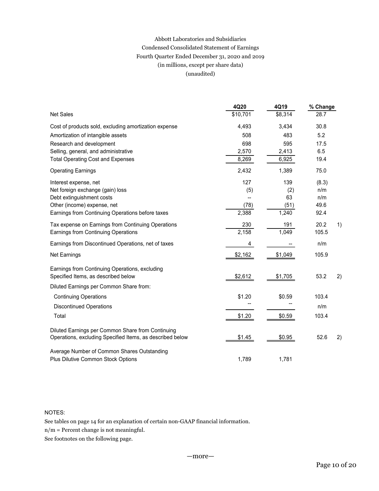# Abbott Laboratories and Subsidiaries Condensed Consolidated Statement of Earnings Fourth Quarter Ended December 31, 2020 and 2019 (in millions, except per share data) (unaudited)

| Condensed Consolidated Statement of Earnings                                                                   | Abbott Laboratories and Subsidiaries |                          |                  |    |
|----------------------------------------------------------------------------------------------------------------|--------------------------------------|--------------------------|------------------|----|
| Fourth Quarter Ended December 31, 2020 and 2019<br>(in millions, except per share data)<br>(unaudited)         |                                      |                          |                  |    |
| Net Sales                                                                                                      | 4Q20<br>\$10,701                     | 4Q19<br>\$8,314          | % Change<br>28.7 |    |
| Cost of products sold, excluding amortization expense                                                          | 4,493                                | 3,434                    | 30.8             |    |
| Amortization of intangible assets                                                                              | 508                                  | 483                      | 5.2              |    |
| Research and development                                                                                       | 698                                  | 595                      | 17.5             |    |
| Selling, general, and administrative                                                                           | 2,570                                | 2,413                    | 6.5              |    |
| <b>Total Operating Cost and Expenses</b>                                                                       | 8,269                                | 6,925                    | 19.4             |    |
| <b>Operating Earnings</b>                                                                                      | 2,432                                | 1,389                    | 75.0             |    |
| Interest expense, net                                                                                          | 127                                  | 139                      | (8.3)            |    |
| Net foreign exchange (gain) loss                                                                               | (5)                                  | (2)                      | n/m              |    |
| Debt extinguishment costs                                                                                      | --                                   | 63                       | n/m              |    |
| Other (income) expense, net<br>Earnings from Continuing Operations before taxes                                | (78)<br>2,388                        | (51)<br>1,240            | 49.6<br>92.4     |    |
|                                                                                                                |                                      |                          |                  |    |
| Tax expense on Earnings from Continuing Operations<br>Earnings from Continuing Operations                      | 230<br>2,158                         | 191<br>1,049             | 20.2<br>105.5    | 1) |
| Earnings from Discontinued Operations, net of taxes                                                            | $\overline{4}$                       |                          | n/m              |    |
|                                                                                                                |                                      | $\overline{\phantom{a}}$ |                  |    |
| Net Earnings                                                                                                   | \$2,162                              | \$1,049                  | 105.9            |    |
| Earnings from Continuing Operations, excluding<br>Specified Items, as described below                          | \$2,612                              | \$1,705                  | 53.2             | 2) |
| Diluted Earnings per Common Share from:                                                                        |                                      |                          |                  |    |
| <b>Continuing Operations</b>                                                                                   | \$1.20                               | \$0.59                   | 103.4            |    |
| <b>Discontinued Operations</b>                                                                                 | $\overline{\phantom{a}}$             | $\overline{\phantom{a}}$ | n/m              |    |
| Total                                                                                                          | \$1.20                               | \$0.59                   | 103.4            |    |
| Diluted Earnings per Common Share from Continuing<br>Operations, excluding Specified Items, as described below | \$1.45                               | \$0.95                   | 52.6             | 2) |
|                                                                                                                |                                      |                          |                  |    |
| Average Number of Common Shares Outstanding<br>Plus Dilutive Common Stock Options                              | 1,789                                | 1,781                    |                  |    |
|                                                                                                                |                                      |                          |                  |    |

## NOTES:

See tables on page 14 for an explanation of certain non-GAAP financial information.

n/m = Percent change is not meaningful.

See footnotes on the following page.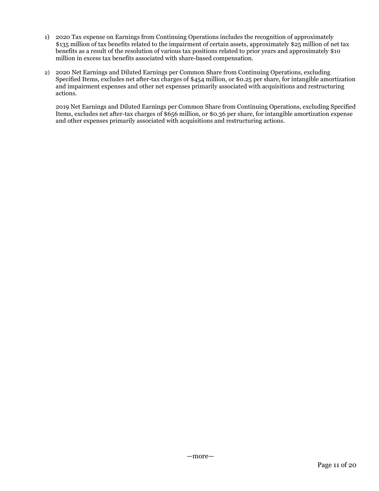- 1) 2020 Tax expense on Earnings from Continuing Operations includes the recognition of approximately \$135 million of tax benefits related to the impairment of certain assets, approximately \$25 million of net tax benefits as a result of the resolution of various tax positions related to prior years and approximately \$10 million in excess tax benefits associated with share-based compensation.
- 2) 2020 Net Earnings and Diluted Earnings per Common Share from Continuing Operations, excluding Specified Items, excludes net after-tax charges of \$454 million, or \$0.25 per share, for intangible amortization and impairment expenses and other net expenses primarily associated with acquisitions and restructuring actions.

2019 Net Earnings and Diluted Earnings per Common Share from Continuing Operations, excluding Specified Items, excludes net after-tax charges of \$656 million, or \$0.36 per share, for intangible amortization expense and other expenses primarily associated with acquisitions and restructuring actions.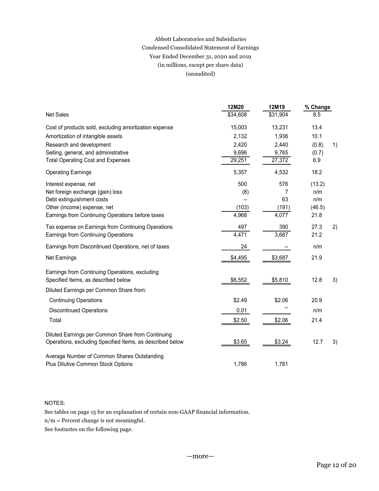# Abbott Laboratories and Subsidiaries Condensed Consolidated Statement of Earnings Year Ended December 31, 2020 and 2019 (in millions, except per share data) (unaudited)

| Year Ended December 31, 2020 and 2019<br>(in millions, except per share data)                                                                                                                              | Abbott Laboratories and Subsidiaries<br>Condensed Consolidated Statement of Earnings |                                             |                                                |    |
|------------------------------------------------------------------------------------------------------------------------------------------------------------------------------------------------------------|--------------------------------------------------------------------------------------|---------------------------------------------|------------------------------------------------|----|
| (unaudited)                                                                                                                                                                                                |                                                                                      |                                             |                                                |    |
| <b>Net Sales</b>                                                                                                                                                                                           | 12M20<br>\$34,608                                                                    | 12M19<br>\$31,904                           | % Change<br>8.5                                |    |
| Cost of products sold, excluding amortization expense<br>Amortization of intangible assets<br>Research and development<br>Selling, general, and administrative<br><b>Total Operating Cost and Expenses</b> | 15,003<br>2,132<br>2,420<br>9,696<br>29,251                                          | 13,231<br>1,936<br>2,440<br>9,765<br>27,372 | 13.4<br>10.1<br>(0.8)<br>(0.7)<br>6.9          | 1) |
| <b>Operating Earnings</b><br>Interest expense, net<br>Net foreign exchange (gain) loss<br>Debt extinguishment costs<br>Other (income) expense, net<br>Earnings from Continuing Operations before taxes     | 5,357<br>500<br>(8)<br>−−<br>(103)<br>4,968                                          | 4,532<br>576<br>7<br>63<br>(191)<br>4,077   | 18.2<br>(13.2)<br>n/m<br>n/m<br>(46.5)<br>21.8 |    |
| Tax expense on Earnings from Continuing Operations<br>Earnings from Continuing Operations                                                                                                                  | 497<br>4,471                                                                         | 390<br>3,687                                | 27.3<br>21.2                                   | 2) |
| Earnings from Discontinued Operations, net of taxes                                                                                                                                                        | 24                                                                                   | $\overline{\phantom{a}}$                    | n/m                                            |    |
| Net Earnings<br>Earnings from Continuing Operations, excluding<br>Specified Items, as described below                                                                                                      | \$4,495<br>\$6,552                                                                   | \$3,687<br>\$5,810                          | 21.9<br>12.8                                   | 3) |
| Diluted Earnings per Common Share from:                                                                                                                                                                    |                                                                                      |                                             |                                                |    |
| <b>Continuing Operations</b><br><b>Discontinued Operations</b>                                                                                                                                             | \$2.49<br>0.01                                                                       | \$2.06                                      | 20.9<br>n/m                                    |    |
| Total                                                                                                                                                                                                      | \$2.50                                                                               | \$2.06                                      | 21.4                                           |    |
| Diluted Earnings per Common Share from Continuing<br>Operations, excluding Specified Items, as described below                                                                                             | \$3.65                                                                               | \$3.24                                      | 12.7                                           | 3) |
| Average Number of Common Shares Outstanding<br>Plus Dilutive Common Stock Options                                                                                                                          | 1,786                                                                                | 1,781                                       |                                                |    |

#### NOTES:

See tables on page 15 for an explanation of certain non-GAAP financial information.

n/m = Percent change is not meaningful.

See footnotes on the following page.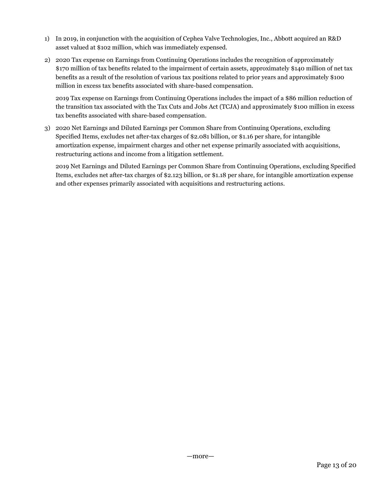- 1) In 2019, in conjunction with the acquisition of Cephea Valve Technologies, Inc., Abbott acquired an R&D asset valued at \$102 million, which was immediately expensed.
- 2) 2020 Tax expense on Earnings from Continuing Operations includes the recognition of approximately \$170 million of tax benefits related to the impairment of certain assets, approximately \$140 million of net tax benefits as a result of the resolution of various tax positions related to prior years and approximately \$100 million in excess tax benefits associated with share-based compensation.

2019 Tax expense on Earnings from Continuing Operations includes the impact of a \$86 million reduction of the transition tax associated with the Tax Cuts and Jobs Act (TCJA) and approximately \$100 million in excess tax benefits associated with share-based compensation.

3) 2020 Net Earnings and Diluted Earnings per Common Share from Continuing Operations, excluding Specified Items, excludes net after-tax charges of \$2.081 billion, or \$1.16 per share, for intangible amortization expense, impairment charges and other net expense primarily associated with acquisitions, restructuring actions and income from a litigation settlement.

2019 Net Earnings and Diluted Earnings per Common Share from Continuing Operations, excluding Specified Items, excludes net after-tax charges of \$2.123 billion, or \$1.18 per share, for intangible amortization expense and other expenses primarily associated with acquisitions and restructuring actions.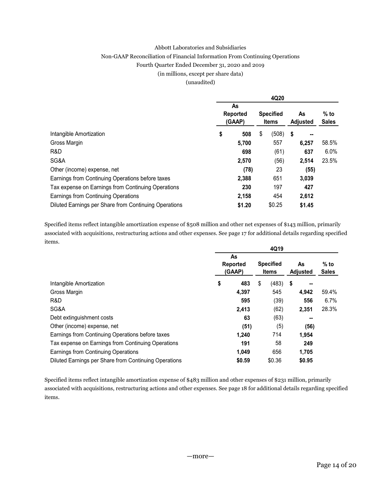#### Abbott Laboratories and Subsidiaries

#### Non-GAAP Reconciliation of Financial Information From Continuing Operations

#### Fourth Quarter Ended December 31, 2020 and 2019

#### (in millions, except per share data)

#### (unaudited)

|                                                       |   |                                 |      | 4Q20                      |                      |                        |
|-------------------------------------------------------|---|---------------------------------|------|---------------------------|----------------------|------------------------|
|                                                       |   | As<br><b>Reported</b><br>(GAAP) |      | <b>Specified</b><br>Items | As<br>Adjusted       | $%$ to<br><b>Sales</b> |
| Intangible Amortization                               | S | 508                             | - \$ | (508)                     | -5<br>$\blacksquare$ |                        |
| Gross Margin                                          |   | 5,700                           |      | 557                       | 6,257                | 58.5%                  |
| R&D                                                   |   | 698                             |      | (61)                      | 637                  | 6.0%                   |
| SG&A                                                  |   | 2,570                           |      | (56)                      | 2,514                | 23.5%                  |
| Other (income) expense, net                           |   | (78)                            |      | 23                        | (55)                 |                        |
| Earnings from Continuing Operations before taxes      |   | 2,388                           |      | 651                       | 3,039                |                        |
| Tax expense on Earnings from Continuing Operations    |   | 230                             |      | 197                       | 427                  |                        |
| Earnings from Continuing Operations                   |   | 2,158                           |      | 454                       | 2,612                |                        |
| Diluted Earnings per Share from Continuing Operations |   | \$1.20                          |      | \$0.25                    | \$1.45               |                        |

Specified items reflect intangible amortization expense of \$508 million and other net expenses of \$143 million, primarily associated with acquisitions, restructuring actions and other expenses. See page 17 for additional details regarding specified items.

|                                                       |           |    | 4Q19             |          |              |
|-------------------------------------------------------|-----------|----|------------------|----------|--------------|
|                                                       | As        |    |                  |          |              |
|                                                       | Reported  |    | <b>Specified</b> | As       | $%$ to       |
|                                                       | (GAAP)    |    | Items            | Adjusted | <b>Sales</b> |
| Intangible Amortization                               | \$<br>483 | S. | $(483)$ \$       | $\sim$   |              |
| Gross Margin                                          | 4,397     |    | 545              | 4,942    | 59.4%        |
| R&D.                                                  | 595       |    | (39)             | 556      | $6.7\%$      |
| SG&A                                                  | 2,413     |    | (62)             | 2,351    | 28.3%        |
| Debt extinguishment costs                             | 63        |    | (63)             | --       |              |
| Other (income) expense, net                           | (51)      |    | (5)              | (56)     |              |
| Earnings from Continuing Operations before taxes      | 1,240     |    | 714              | 1,954    |              |
| Tax expense on Earnings from Continuing Operations    | 191       |    | 58               | 249      |              |
| Earnings from Continuing Operations                   | 1,049     |    | 656              | 1,705    |              |
| Diluted Earnings per Share from Continuing Operations | \$0.59    |    | \$0.36           | \$0.95   |              |

Specified items reflect intangible amortization expense of \$483 million and other expenses of \$231 million, primarily associated with acquisitions, restructuring actions and other expenses. See page 18 for additional details regarding specified items.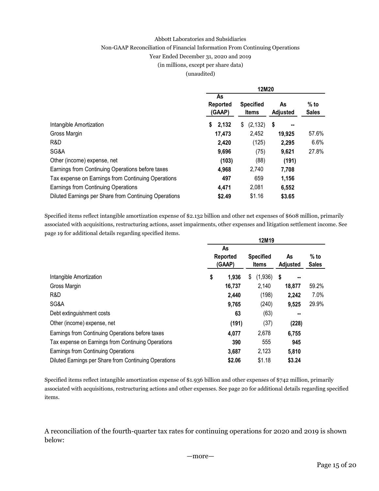#### Abbott Laboratories and Subsidiaries

## Non-GAAP Reconciliation of Financial Information From Continuing Operations

Year Ended December 31, 2020 and 2019

## (in millions, except per share data)

(unaudited)

|                                                       |                          | 12M20                     |                       |                        |
|-------------------------------------------------------|--------------------------|---------------------------|-----------------------|------------------------|
|                                                       | As<br>Reported<br>(GAAP) | <b>Specified</b><br>Items | As<br><b>Adjusted</b> | $%$ to<br><b>Sales</b> |
| Intangible Amortization                               | \$2,132                  | (2, 132)<br>\$            | - \$<br>$\mathbf{u}$  |                        |
| Gross Margin                                          | 17,473                   | 2,452                     | 19,925                | 57.6%                  |
| R&D                                                   | 2,420                    | (125)                     | 2,295                 | 6.6%                   |
| SG&A                                                  | 9,696                    | (75)                      | 9,621                 | 27.8%                  |
| Other (income) expense, net                           | (103)                    | (88)                      | (191)                 |                        |
| Earnings from Continuing Operations before taxes      | 4,968                    | 2,740                     | 7,708                 |                        |
| Tax expense on Earnings from Continuing Operations    | 497                      | 659                       | 1,156                 |                        |
| Earnings from Continuing Operations                   | 4,471                    | 2,081                     | 6,552                 |                        |
| Diluted Earnings per Share from Continuing Operations | \$2.49                   | \$1.16                    | \$3.65                |                        |

Specified items reflect intangible amortization expense of \$2.132 billion and other net expenses of \$608 million, primarily associated with acquisitions, restructuring actions, asset impairments, other expenses and litigation settlement income. See page 19 for additional details regarding specified items.

|                                                       |                          |        | 12M19                     |                |                        |  |
|-------------------------------------------------------|--------------------------|--------|---------------------------|----------------|------------------------|--|
|                                                       | As<br>Reported<br>(GAAP) |        | <b>Specified</b><br>Items | As<br>Adjusted | $%$ to<br><b>Sales</b> |  |
| Intangible Amortization                               |                          | 1,936  | $(1,936)$ \$<br>S         | $\sim$         |                        |  |
| Gross Margin                                          |                          | 16,737 | 2,140                     | 18,877         | 59.2%                  |  |
| R&D                                                   |                          | 2,440  | (198)                     | 2,242          | 7.0%                   |  |
| SG&A                                                  |                          | 9,765  | (240)                     | 9,525          | 29.9%                  |  |
| Debt extinguishment costs                             |                          | 63     | (63)                      | $\sim$         |                        |  |
| Other (income) expense, net                           |                          | (191)  | (37)                      | (228)          |                        |  |
| Earnings from Continuing Operations before taxes      |                          | 4,077  | 2,678                     | 6,755          |                        |  |
| Tax expense on Earnings from Continuing Operations    |                          | 390    | 555                       | 945            |                        |  |
| Earnings from Continuing Operations                   |                          | 3,687  | 2,123                     | 5,810          |                        |  |
| Diluted Earnings per Share from Continuing Operations |                          | \$2.06 | \$1.18                    | \$3.24         |                        |  |

Specified items reflect intangible amortization expense of \$1.936 billion and other expenses of \$742 million, primarily associated with acquisitions, restructuring actions and other expenses. See page 20 for additional details regarding specified items.

A reconciliation of the fourth-quarter tax rates for continuing operations for 2020 and 2019 is shown below: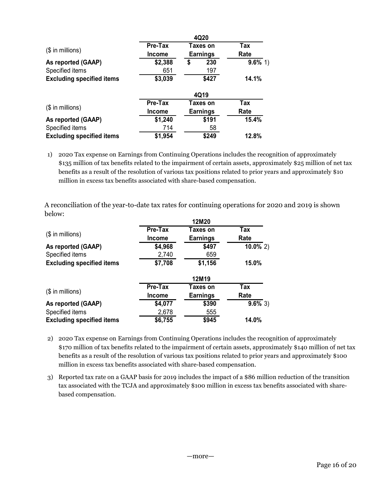|                                                                                                                  |         | 4Q20            |            |
|------------------------------------------------------------------------------------------------------------------|---------|-----------------|------------|
|                                                                                                                  | Pre-Tax | <b>Taxes on</b> | <b>Tax</b> |
| (\$ in millions)                                                                                                 | Income  | <b>Earnings</b> | Rate       |
| As reported (GAAP)                                                                                               | \$2,388 | 230<br>\$       | $9.6\%$ 1) |
| Specified items                                                                                                  | 651     | 197             |            |
| <b>Excluding specified items</b>                                                                                 | \$3,039 | \$427           | 14.1%      |
|                                                                                                                  |         |                 |            |
|                                                                                                                  |         | 4Q19            |            |
|                                                                                                                  | Pre-Tax | <b>Taxes on</b> | <b>Tax</b> |
| (\$ in millions)                                                                                                 | Income  | <b>Earnings</b> | Rate       |
| As reported (GAAP)                                                                                               | \$1,240 | \$191           | 15.4%      |
| Specified items                                                                                                  | 714     | 58              |            |
| <b>Excluding specified items</b>                                                                                 | \$1,954 | \$249           | 12.8%      |
|                                                                                                                  |         |                 |            |
| 2020 Tax expense on Earnings from Continuing Operations includes the recognition of approximately<br>1)          |         |                 |            |
| \$135 million of tax benefits related to the impairment of certain assets, approximately \$25 million of net tax |         |                 |            |
|                                                                                                                  |         |                 |            |

|                                                                                                                                                                      |                  | 4Q19            |             |  |
|----------------------------------------------------------------------------------------------------------------------------------------------------------------------|------------------|-----------------|-------------|--|
| (\$ in millions)                                                                                                                                                     | Pre-Tax          | Taxes on        | <b>Tax</b>  |  |
|                                                                                                                                                                      | Income           | <b>Earnings</b> | Rate        |  |
| As reported (GAAP)                                                                                                                                                   | \$1,240          | \$191           | 15.4%       |  |
| Specified items                                                                                                                                                      | 714              | 58              |             |  |
| <b>Excluding specified items</b>                                                                                                                                     | \$1,954          | \$249           | 12.8%       |  |
| 2020 Tax expense on Earnings from Continuing Operations includes the recognition of approximately<br>1)                                                              |                  |                 |             |  |
| \$135 million of tax benefits related to the impairment of certain assets, approximately \$25 million of net tax                                                     |                  |                 |             |  |
| benefits as a result of the resolution of various tax positions related to prior years and approximately \$10                                                        |                  |                 |             |  |
| million in excess tax benefits associated with share-based compensation.                                                                                             |                  |                 |             |  |
|                                                                                                                                                                      |                  |                 |             |  |
|                                                                                                                                                                      |                  |                 |             |  |
|                                                                                                                                                                      |                  | 12M20           |             |  |
|                                                                                                                                                                      | Pre-Tax          | Taxes on        | Tax         |  |
| $($$ in millions)                                                                                                                                                    | Income           | <b>Earnings</b> | Rate        |  |
|                                                                                                                                                                      | \$4,968          | \$497           | $10.0\%$ 2) |  |
| As reported (GAAP)<br>Specified items                                                                                                                                | 2,740            | 659             |             |  |
| <b>Excluding specified items</b>                                                                                                                                     | \$7,708          | \$1,156         | 15.0%       |  |
|                                                                                                                                                                      |                  | 12M19           |             |  |
|                                                                                                                                                                      | Pre-Tax          | Taxes on        | Tax         |  |
| (\$ in millions)                                                                                                                                                     | Income           | <b>Earnings</b> | Rate        |  |
| As reported (GAAP)                                                                                                                                                   | \$4,077          | \$390           | $9.6\%$ 3)  |  |
| A reconciliation of the year-to-date tax rates for continuing operations for 2020 and 2019 is shown<br>below:<br>Specified items<br><b>Excluding specified items</b> | 2,678<br>\$6,755 | 555<br>\$945    | 14.0%       |  |

2) 2020 Tax expense on Earnings from Continuing Operations includes the recognition of approximately \$170 million of tax benefits related to the impairment of certain assets, approximately \$140 million of net tax benefits as a result of the resolution of various tax positions related to prior years and approximately \$100 million in excess tax benefits associated with share-based compensation.

3) Reported tax rate on a GAAP basis for 2019 includes the impact of a \$86 million reduction of the transition tax associated with the TCJA and approximately \$100 million in excess tax benefits associated with sharebased compensation.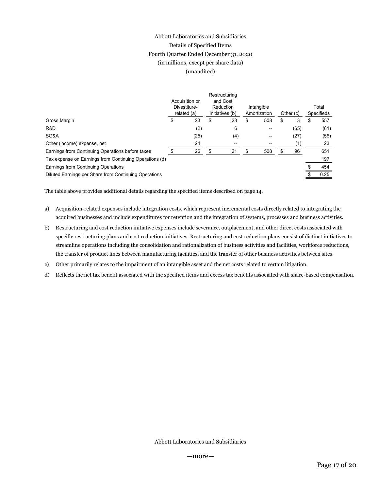# Abbott Laboratories and Subsidiaries Details of Specified Items Fourth Quarter Ended December 31, 2020 (in millions, except per share data) (unaudited)

|                                                                                              |    | Abbott Laboratories and Subsidiaries                                 |               |                                                           |                                  |                 |           |                                     |
|----------------------------------------------------------------------------------------------|----|----------------------------------------------------------------------|---------------|-----------------------------------------------------------|----------------------------------|-----------------|-----------|-------------------------------------|
|                                                                                              |    | Details of Specified Items<br>Fourth Quarter Ended December 31, 2020 |               |                                                           |                                  |                 |           |                                     |
|                                                                                              |    | (in millions, except per share data)                                 |               |                                                           |                                  |                 |           |                                     |
|                                                                                              |    | (unaudited)                                                          |               |                                                           |                                  |                 |           |                                     |
|                                                                                              |    |                                                                      |               |                                                           |                                  |                 |           |                                     |
|                                                                                              | £. | Acquisition or<br>Divestiture-<br>related (a)                        |               | Restructuring<br>and Cost<br>Reduction<br>Initiatives (b) | \$<br>Intangible<br>Amortization | Other (c)<br>\$ |           | Total<br>Specifieds<br>$\mathbb{S}$ |
| Gross Margin<br>R&D                                                                          |    | 23                                                                   | $\sqrt[6]{2}$ | 23<br>6                                                   | 508<br>$\overline{\phantom{a}}$  |                 | 3<br>(65) | 557<br>(61)                         |
| SG&A                                                                                         |    | (2)<br>(25)                                                          |               | (4)                                                       | $\overline{\phantom{a}}$         |                 | (27)      | (56)                                |
| Other (income) expense, net                                                                  |    | 24                                                                   |               | $\overline{\phantom{a}}$                                  | $\overline{\phantom{a}}$         |                 | (1)       | 23                                  |
| Earnings from Continuing Operations before taxes                                             | \$ | 26                                                                   | \$            | 21                                                        | \$<br>508                        | \$              | 96        | 651                                 |
| Tax expense on Earnings from Continuing Operations (d)                                       |    |                                                                      |               |                                                           |                                  |                 |           | 197                                 |
| Earnings from Continuing Operations<br>Diluted Earnings per Share from Continuing Operations |    |                                                                      |               |                                                           |                                  |                 |           | 454<br>\$<br>0.25<br>\$             |

- a) Acquisition-related expenses include integration costs, which represent incremental costs directly related to integrating the acquired businesses and include expenditures for retention and the integration of systems, processes and business activities.
- b) Restructuring and cost reduction initiative expenses include severance, outplacement, and other direct costs associated with specific restructuring plans and cost reduction initiatives. Restructuring and cost reduction plans consist of distinct initiatives to streamline operations including the consolidation and rationalization of business activities and facilities, workforce reductions, the transfer of product lines between manufacturing facilities, and the transfer of other business activities between sites.
- c) Other primarily relates to the impairment of an intangible asset and the net costs related to certain litigation.
- d) Reflects the net tax benefit associated with the specified items and excess tax benefits associated with share-based compensation.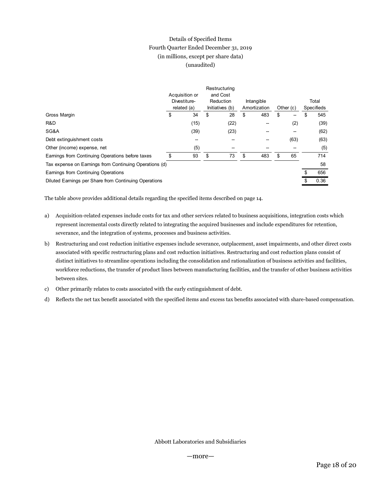# Details of Specified Items Fourth Quarter Ended December 31, 2019 (in millions, except per share data) (unaudited)

|                                                                                                 |                                        | Details of Specified Items           |                           |                           |                              |                          |                                             |                    |      |
|-------------------------------------------------------------------------------------------------|----------------------------------------|--------------------------------------|---------------------------|---------------------------|------------------------------|--------------------------|---------------------------------------------|--------------------|------|
|                                                                                                 | Fourth Quarter Ended December 31, 2019 |                                      |                           |                           |                              |                          |                                             |                    |      |
|                                                                                                 |                                        | (in millions, except per share data) |                           |                           |                              |                          |                                             |                    |      |
|                                                                                                 |                                        | (unaudited)                          |                           |                           |                              |                          |                                             |                    |      |
|                                                                                                 |                                        |                                      |                           |                           |                              |                          |                                             |                    |      |
|                                                                                                 |                                        |                                      |                           |                           |                              |                          |                                             |                    |      |
|                                                                                                 |                                        | Acquisition or                       |                           | Restructuring<br>and Cost |                              |                          |                                             |                    |      |
|                                                                                                 |                                        | Divestiture-                         |                           | Reduction                 | Intangible                   |                          |                                             | Total              |      |
| Gross Margin                                                                                    | \$                                     | related (a)<br>34                    | \$                        | Initiatives (b)<br>28     | Amortization<br>$\mathbb{S}$ | 483                      | \$<br>Other (c)<br>$\overline{\phantom{0}}$ | Specifieds<br>$\,$ | 545  |
| R&D                                                                                             |                                        | (15)                                 |                           | (22)                      |                              | $\overline{\phantom{a}}$ | (2)                                         |                    | (39) |
| SG&A                                                                                            |                                        | (39)                                 |                           | (23)                      |                              |                          | $\overline{\phantom{a}}$                    |                    | (62) |
| Debt extinguishment costs                                                                       |                                        | $\overline{\phantom{a}}$             |                           | $\overline{\phantom{a}}$  |                              |                          | (63)                                        |                    | (63) |
| Other (income) expense, net                                                                     |                                        | (5)                                  |                           | $\overline{\phantom{a}}$  |                              |                          | $\overline{\phantom{a}}$                    |                    | (5)  |
| Earnings from Continuing Operations before taxes                                                | $\boldsymbol{\mathsf{S}}$              | 93                                   | $\boldsymbol{\mathsf{S}}$ | 73                        | $\boldsymbol{\mathsf{S}}$    | 483                      | \$<br>65                                    |                    | 714  |
| Tax expense on Earnings from Continuing Operations (d)                                          |                                        |                                      |                           |                           |                              |                          |                                             |                    | 58   |
| Earnings from Continuing Operations                                                             |                                        |                                      |                           |                           |                              |                          |                                             | \$                 | 656  |
| Diluted Earnings per Share from Continuing Operations                                           |                                        |                                      |                           |                           |                              |                          |                                             | \$                 | 0.36 |
|                                                                                                 |                                        |                                      |                           |                           |                              |                          |                                             |                    |      |
| The table above provides additional details regarding the specified items described on page 14. |                                        |                                      |                           |                           |                              |                          |                                             |                    |      |

- a) Acquisition-related expenses include costs for tax and other services related to business acquisitions, integration costs which represent incremental costs directly related to integrating the acquired businesses and include expenditures for retention, severance, and the integration of systems, processes and business activities.
- b) Restructuring and cost reduction initiative expenses include severance, outplacement, asset impairments, and other direct costs associated with specific restructuring plans and cost reduction initiatives. Restructuring and cost reduction plans consist of distinct initiatives to streamline operations including the consolidation and rationalization of business activities and facilities, workforce reductions, the transfer of product lines between manufacturing facilities, and the transfer of other business activities between sites.
- c) Other primarily relates to costs associated with the early extinguishment of debt.
- d) Reflects the net tax benefit associated with the specified items and excess tax benefits associated with share-based compensation.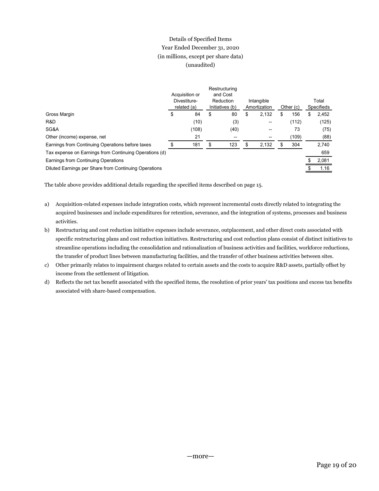# Details of Specified Items Year Ended December 31, 2020 (in millions, except per share data) (unaudited)

|                                                                                                 | Details of Specified Items |              |                                      |                                   |                 |              |                           |                |
|-------------------------------------------------------------------------------------------------|----------------------------|--------------|--------------------------------------|-----------------------------------|-----------------|--------------|---------------------------|----------------|
|                                                                                                 |                            |              | Year Ended December 31, 2020         |                                   |                 |              |                           |                |
|                                                                                                 |                            |              | (in millions, except per share data) |                                   |                 |              |                           |                |
|                                                                                                 | (unaudited)                |              |                                      |                                   |                 |              |                           |                |
|                                                                                                 |                            |              |                                      |                                   |                 |              |                           |                |
|                                                                                                 |                            |              |                                      |                                   |                 |              |                           |                |
|                                                                                                 | Acquisition or             |              | Restructuring<br>and Cost            |                                   |                 |              |                           |                |
|                                                                                                 | Divestiture-               |              | Reduction                            | Intangible                        |                 |              |                           | Total          |
|                                                                                                 | \$<br>related (a)          | $\mathbb{S}$ | Initiatives (b)                      | \$<br>Amortization                | Other (c)<br>\$ |              |                           | Specifieds     |
| Gross Margin<br>R&D                                                                             | 84<br>(10)                 |              | 80<br>(3)                            | 2,132<br>$\overline{\phantom{a}}$ |                 | 156<br>(112) | $\boldsymbol{\mathsf{S}}$ | 2,452<br>(125) |
| SG&A                                                                                            | (108)                      |              | (40)                                 | --                                |                 | 73           |                           | (75)           |
| Other (income) expense, net                                                                     | 21                         |              | $\overline{\phantom{a}}$             | --                                |                 | (109)        |                           | (88)           |
| Earnings from Continuing Operations before taxes                                                | \$<br>181                  | \$           | 123                                  | \$<br>2,132                       | \$              | 304          |                           | 2,740          |
| Tax expense on Earnings from Continuing Operations (d)                                          |                            |              |                                      |                                   |                 |              |                           | 659            |
| Earnings from Continuing Operations                                                             |                            |              |                                      |                                   |                 |              | S                         | 2,081          |
| Diluted Earnings per Share from Continuing Operations                                           |                            |              |                                      |                                   |                 |              | \$                        | 1.16           |
|                                                                                                 |                            |              |                                      |                                   |                 |              |                           |                |
|                                                                                                 |                            |              |                                      |                                   |                 |              |                           |                |
| The table above provides additional details regarding the specified items described on page 15. |                            |              |                                      |                                   |                 |              |                           |                |

- a) Acquisition-related expenses include integration costs, which represent incremental costs directly related to integrating the acquired businesses and include expenditures for retention, severance, and the integration of systems, processes and business activities.
- b) Restructuring and cost reduction initiative expenses include severance, outplacement, and other direct costs associated with specific restructuring plans and cost reduction initiatives. Restructuring and cost reduction plans consist of distinct initiatives to streamline operations including the consolidation and rationalization of business activities and facilities, workforce reductions, the transfer of product lines between manufacturing facilities, and the transfer of other business activities between sites.
- c) Other primarily relates to impairment charges related to certain assets and the costs to acquire R&D assets, partially offset by income from the settlement of litigation.
- d) Reflects the net tax benefit associated with the specified items, the resolution of prior years' tax positions and excess tax benefits associated with share-based compensation.